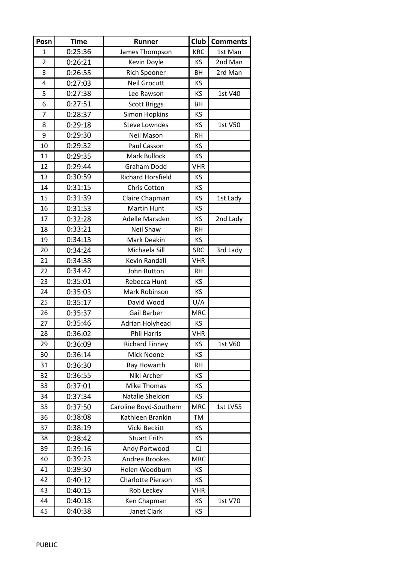| Posn           | <b>Time</b> | Runner                   | Club       | <b>Comments</b> |
|----------------|-------------|--------------------------|------------|-----------------|
| 1              | 0:25:36     | James Thompson           | <b>KRC</b> | 1st Man         |
| $\overline{2}$ | 0:26:21     | Kevin Doyle              | KS         | 2nd Man         |
| 3              | 0:26:55     | Rich Spooner             | BH         | 2rd Man         |
| 4              | 0:27:03     | <b>Neil Grocutt</b>      | KS         |                 |
| 5              | 0:27:38     | Lee Rawson               | KS         | 1st V40         |
| 6              | 0:27:51     | <b>Scott Briggs</b>      | BH         |                 |
| $\overline{7}$ | 0:28:37     | <b>Simon Hopkins</b>     | KS         |                 |
| 8              | 0:29:18     | <b>Steve Lowndes</b>     | KS         | 1st V50         |
| 9              | 0:29:30     | Neil Mason               | <b>RH</b>  |                 |
| 10             | 0:29:32     | Paul Casson              | KS         |                 |
| 11             | 0:29:35     | Mark Bullock             | KS         |                 |
| 12             | 0:29:44     | Graham Dodd              | <b>VHR</b> |                 |
| 13             | 0:30:59     | <b>Richard Horsfield</b> | KS         |                 |
| 14             | 0:31:15     | Chris Cotton             | <b>KS</b>  |                 |
| 15             | 0:31:39     | Claire Chapman           | KS         | 1st Lady        |
| 16             | 0:31:53     | Martin Hunt              | KS         |                 |
| 17             | 0:32:28     | Adelle Marsden           | KS         | 2nd Lady        |
| 18             | 0:33:21     | Neil Shaw                | <b>RH</b>  |                 |
| 19             | 0:34:13     | Mark Deakin              | KS         |                 |
| 20             | 0:34:24     | Michaela Sill            | <b>SRC</b> | 3rd Lady        |
| 21             | 0:34:38     | Kevin Randall            | <b>VHR</b> |                 |
| 22             | 0:34:42     | John Button              | <b>RH</b>  |                 |
| 23             | 0:35:01     | Rebecca Hunt             | KS.        |                 |
| 24             | 0:35:03     | Mark Robinson            | KS         |                 |
| 25             | 0:35:17     | David Wood               | U/A        |                 |
| 26             | 0:35:37     | Gail Barber              | <b>MRC</b> |                 |
| 27             | 0:35:46     | Adrian Holyhead          | KS         |                 |
| 28             | 0:36:02     | Phil Harris              | <b>VHR</b> |                 |
| 29             | 0:36:09     | <b>Richard Finney</b>    | KS         | 1st V60         |
| 30             | 0:36:14     | Mick Noone               | KS         |                 |
| 31             | 0:36:30     | Ray Howarth              | <b>RH</b>  |                 |
| 32             | 0:36:55     | Niki Archer              | KS         |                 |
| 33             | 0:37:01     | <b>Mike Thomas</b>       | KS.        |                 |
| 34             | 0:37:34     | Natalie Sheldon          | ΚS         |                 |
| 35             | 0:37:50     | Caroline Boyd-Southern   | <b>MRC</b> | <b>1st LV55</b> |
| 36             | 0:38:08     | Kathleen Brankin         | TM         |                 |
| 37             | 0:38:19     | Vicki Beckitt            | KS         |                 |
| 38             | 0:38:42     | <b>Stuart Frith</b>      | KS.        |                 |
| 39             | 0:39:16     | Andy Portwood            | CJ         |                 |
| 40             | 0:39:23     | Andrea Brookes           | <b>MRC</b> |                 |
| 41             | 0:39:30     | Helen Woodburn           | KS         |                 |
| 42             | 0:40:12     | Charlotte Pierson        | KS         |                 |
| 43             | 0:40:15     | Rob Leckey               | <b>VHR</b> |                 |
| 44             | 0:40:18     | Ken Chapman              | KS         | 1st V70         |
| 45             | 0:40:38     | Janet Clark              | KS         |                 |